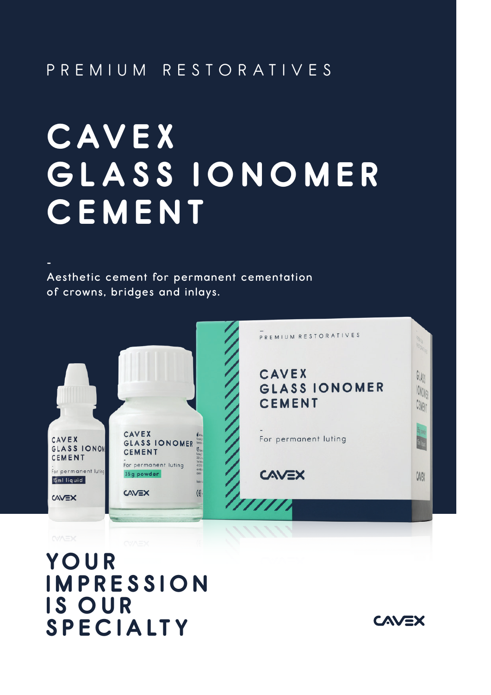## PREMIUM RESTORATIVES

# **C AV E X GLASS IONOMER CEMENT**

Aesthetic cement for permanent cementation of crowns, bridges and inlays.

-



**YO U R l MPRESS l O N l S OUR SPEC l A LT Y**